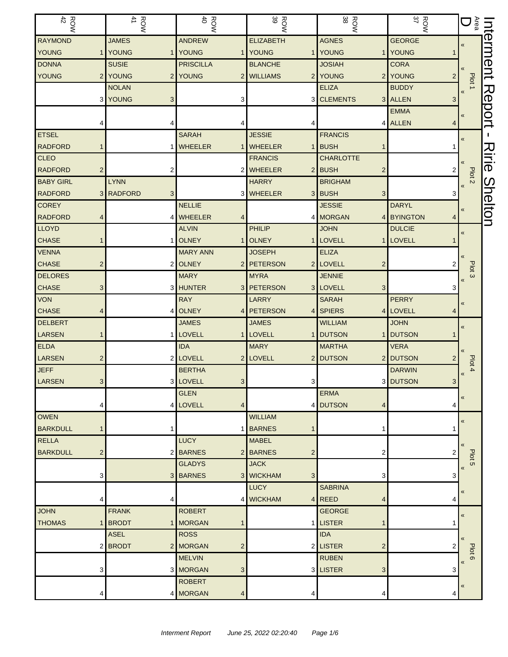| $\frac{R}{42}$               |                | $\frac{ROW}{41}$    | $\frac{R}{40}$             | ROW<br>39                    | ROW<br>38                           | ROW<br>37                      | $\mathbb{S}$ D                                     | lnt          |
|------------------------------|----------------|---------------------|----------------------------|------------------------------|-------------------------------------|--------------------------------|----------------------------------------------------|--------------|
| <b>RAYMOND</b>               |                | <b>JAMES</b>        | <b>ANDREW</b>              | <b>ELIZABETH</b>             | <b>AGNES</b>                        | <b>GEORGE</b>                  | $\pmb{\langle} \pmb{\langle}$                      | erment       |
| <b>YOUNG</b>                 | 1              | YOUNG               | 1 YOUNG                    | 1 YOUNG                      | <b>YOUNG</b><br>$\mathbf{1}$        | YOUNG                          |                                                    |              |
| <b>DONNA</b>                 |                | <b>SUSIE</b>        | <b>PRISCILLA</b>           | <b>BLANCHE</b>               | <b>JOSIAH</b>                       | <b>CORA</b>                    |                                                    |              |
| <b>YOUNG</b>                 | 2              | YOUNG               | 2 YOUNG                    | 2 WILLIAMS<br>2 <sub>1</sub> | YOUNG<br>2 <sub>1</sub>             | <b>YOUNG</b><br>$\overline{2}$ | Plot 1                                             |              |
|                              |                | <b>NOLAN</b>        |                            |                              | <b>ELIZA</b>                        | <b>BUDDY</b>                   |                                                    |              |
|                              | 3              | YOUNG<br>3          | 3                          |                              | 3 CLEMENTS                          | 3 ALLEN<br>3                   |                                                    | Report       |
|                              |                |                     |                            |                              |                                     | <b>EMMA</b>                    | $\pmb{\ll}$                                        |              |
|                              |                | 4                   |                            |                              |                                     | 4 ALLEN<br>4                   |                                                    |              |
| <b>ETSEL</b>                 |                |                     | <b>SARAH</b>               | <b>JESSIE</b>                | <b>FRANCIS</b>                      |                                | $\pmb{\langle} \pmb{\langle}$                      |              |
| <b>RADFORD</b>               |                |                     | 1 WHEELER                  | 1 WHEELER<br>1               | <b>BUSH</b>                         |                                |                                                    |              |
| <b>CLEO</b>                  |                |                     |                            | <b>FRANCIS</b>               | <b>CHARLOTTE</b>                    |                                |                                                    | <b>Ririe</b> |
| <b>RADFORD</b>               | 2              | 2                   |                            | 2 WHEELER                    | 2 BUSH<br>2                         |                                | Plot <sub>2</sub>                                  |              |
| <b>BABY GIRL</b>             |                | <b>LYNN</b>         |                            | <b>HARRY</b>                 | <b>BRIGHAM</b>                      |                                | $\pmb{\mathcal{R}}$                                |              |
| <b>RADFORD</b>               | 3 <sup>1</sup> | <b>RADFORD</b><br>3 |                            | 3 WHEELER                    | 3 BUSH<br>3                         |                                |                                                    |              |
| <b>COREY</b>                 |                |                     | <b>NELLIE</b>              |                              | <b>JESSIE</b>                       | <b>DARYL</b>                   | $\pmb{\ll}$                                        | Shelton      |
| <b>RADFORD</b>               |                |                     | 4 WHEELER<br>4             |                              | 4 MORGAN                            | 4 BYINGTON<br>4                |                                                    |              |
| <b>LLOYD</b>                 |                |                     | <b>ALVIN</b>               | PHILIP                       | <b>JOHN</b>                         | <b>DULCIE</b>                  | «                                                  |              |
| <b>CHASE</b>                 |                | 1                   | <b>OLNEY</b>               | 1 OLNEY                      | LOVELL                              | 1 LOVELL                       |                                                    |              |
| <b>VENNA</b>                 |                |                     | <b>MARY ANN</b>            | <b>JOSEPH</b>                | <b>ELIZA</b>                        |                                |                                                    |              |
| <b>CHASE</b>                 | $\overline{2}$ |                     | 2 OLNEY                    | 2 PETERSON                   | 2 LOVELL<br>$\overline{c}$          |                                | Plot <sub>3</sub>                                  |              |
| <b>DELORES</b>               |                |                     | <b>MARY</b>                | <b>MYRA</b>                  | <b>JENNIE</b>                       |                                | $\pmb{\langle} \pmb{\langle}$                      |              |
| <b>CHASE</b>                 | 3              |                     | 3 HUNTER                   | 3 PETERSON                   | 3 LOVELL<br>3                       | 3                              |                                                    |              |
| <b>VON</b>                   |                |                     | <b>RAY</b>                 | LARRY                        | <b>SARAH</b>                        | <b>PERRY</b>                   | $\pmb{\ll}$                                        |              |
| <b>CHASE</b>                 | 4              |                     | 4 OLNEY                    | 4 PETERSON<br>4 <sup>1</sup> | <b>SPIERS</b>                       | 4 LOVELL                       |                                                    |              |
| <b>DELBERT</b>               |                |                     | <b>JAMES</b>               | <b>JAMES</b>                 | <b>WILLIAM</b>                      | <b>JOHN</b>                    | $\pmb{\langle} \pmb{\langle}$                      |              |
| LARSEN                       |                |                     | 1 LOVELL                   | 1 LOVELL                     | <b>DUTSON</b><br>1                  | <b>DUTSON</b>                  |                                                    |              |
| <b>ELDA</b><br><b>LARSEN</b> |                |                     | <b>IDA</b><br>2 LOVELL     | <b>MARY</b><br>2 LOVELL      | <b>MARTHA</b><br>2 DUTSON           | <b>VERA</b><br>2 DUTSON        |                                                    |              |
| <b>JEFF</b>                  | $\overline{2}$ |                     | <b>BERTHA</b>              |                              |                                     | <b>DARWIN</b>                  | Plot 4                                             |              |
| LARSEN                       | 3 <sup>1</sup> |                     | 3 LOVELL<br>3 <sup>1</sup> | 3                            |                                     | 3 DUTSON<br>3                  | $\pmb{\langle} \pmb{\langle}$                      |              |
|                              |                |                     | <b>GLEN</b>                |                              | <b>ERMA</b>                         |                                |                                                    |              |
|                              |                |                     | 4 LOVELL<br>4              | 4                            | <b>DUTSON</b><br>4                  | 4                              | $\pmb{\langle} \pmb{\langle}$                      |              |
| <b>OWEN</b>                  |                |                     |                            | <b>WILLIAM</b>               |                                     |                                |                                                    |              |
| <b>BARKDULL</b>              | 1              | 1                   |                            | 1 BARNES                     | 1                                   |                                | $\pmb{\langle} \pmb{\langle}$                      |              |
| <b>RELLA</b>                 |                |                     | <b>LUCY</b>                | <b>MABEL</b>                 |                                     |                                |                                                    |              |
| <b>BARKDULL</b>              | 2              |                     | 2 BARNES                   | 2 BARNES<br>2                | 2                                   |                                |                                                    |              |
|                              |                |                     | <b>GLADYS</b>              | <b>JACK</b>                  |                                     |                                | Plot <sub>5</sub><br>$\pmb{\langle} \pmb{\langle}$ |              |
|                              | 3              |                     | 3 BARNES                   | 3 WICKHAM<br>3               | 3                                   | 3                              |                                                    |              |
|                              |                |                     |                            | <b>LUCY</b>                  | <b>SABRINA</b>                      |                                | $\pmb{\langle} \pmb{\langle}$                      |              |
|                              | 4              | 4                   |                            | 4 WICKHAM                    | $4$ REED<br>4                       | 4                              |                                                    |              |
| <b>JOHN</b>                  |                | <b>FRANK</b>        | <b>ROBERT</b>              |                              | <b>GEORGE</b>                       |                                | $\pmb{\langle} \pmb{\langle}$                      |              |
| <b>THOMAS</b>                |                | <b>BRODT</b>        | 1 MORGAN                   |                              | <b>LISTER</b>                       |                                |                                                    |              |
|                              |                | ASEL                | <b>ROSS</b>                |                              | <b>IDA</b>                          |                                | $\langle \langle$                                  |              |
|                              | 2              | <b>BRODT</b>        | 2 MORGAN<br>$\overline{c}$ |                              | 2 LISTER<br>$\overline{\mathbf{c}}$ |                                | Plot 6                                             |              |
|                              |                |                     | <b>MELVIN</b>              |                              | <b>RUBEN</b>                        |                                | $\pmb{\langle} \pmb{\langle}$                      |              |
|                              | 3              |                     | 3 MORGAN<br>3              |                              | 3 LISTER<br>3                       | 3                              |                                                    |              |
|                              |                |                     | <b>ROBERT</b>              |                              |                                     |                                | «                                                  |              |
|                              | 4              |                     | 4 MORGAN<br>4              | 4                            | 4                                   | 4                              |                                                    |              |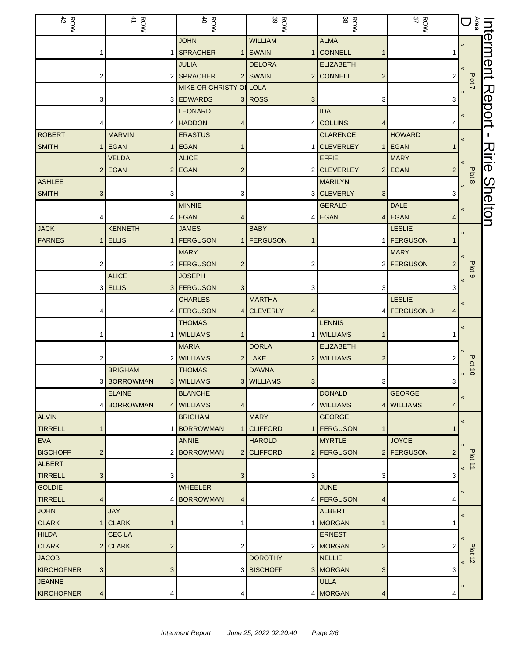| $\begin{array}{c}\n\text{RON} \\ 42\n\end{array}$ | ROW<br>41             | $\frac{R}{40}$                      | <b>ROW</b>      | ROW<br>38                        | <b>ROW</b><br>37                      | $\widetilde{\mathbb{E}}\mathbf{D}$           | Interment      |
|---------------------------------------------------|-----------------------|-------------------------------------|-----------------|----------------------------------|---------------------------------------|----------------------------------------------|----------------|
|                                                   |                       | <b>JOHN</b>                         | <b>WILLIAM</b>  | <b>ALMA</b>                      |                                       | $\pmb{\kappa}$                               |                |
|                                                   |                       | 1 SPRACHER                          | 1 SWAIN         | <b>CONNELL</b>                   |                                       |                                              |                |
|                                                   |                       | <b>JULIA</b>                        | <b>DELORA</b>   | <b>ELIZABETH</b>                 |                                       |                                              |                |
|                                                   | 2                     | 2 SPRACHER                          | 2 SWAIN         | <b>CONNELL</b><br>2              | 2                                     | Plot 7                                       |                |
|                                                   |                       | <b>MIKE OR CHRISTY OF LOLA</b>      |                 |                                  |                                       |                                              |                |
|                                                   | 3                     | 3 EDWARDS                           | 3 ROSS<br>3     | 3                                | 3                                     |                                              | Report         |
|                                                   |                       | <b>LEONARD</b>                      |                 | <b>IDA</b>                       |                                       | «                                            |                |
|                                                   |                       | 4 HADDON<br>4                       |                 | <b>COLLINS</b><br>4              |                                       |                                              |                |
| <b>ROBERT</b>                                     | <b>MARVIN</b>         | <b>ERASTUS</b>                      |                 | <b>CLARENCE</b>                  | <b>HOWARD</b>                         | «                                            |                |
| <b>SMITH</b>                                      | <b>EGAN</b>           | <b>EGAN</b><br>1                    |                 | <b>CLEVERLEY</b><br>$\mathbf{1}$ | <b>EGAN</b>                           |                                              | 入              |
|                                                   | <b>VELDA</b>          | <b>ALICE</b>                        |                 | <b>EFFIE</b>                     | <b>MARY</b>                           |                                              | $\overline{a}$ |
|                                                   | $2$ EGAN              | 2 EGAN<br>$\overline{2}$            |                 | <b>CLEVERLEY</b>                 | 2 EGAN<br>2                           | Plot 8                                       |                |
| <b>ASHLEE</b>                                     |                       |                                     |                 | <b>MARILYN</b>                   |                                       | $\pmb{\mathcal{R}}$                          | Shelton        |
| <b>SMITH</b>                                      | 3                     | 3<br>3                              |                 | <b>CLEVERLY</b><br>3             | З                                     |                                              |                |
|                                                   |                       | <b>MINNIE</b>                       |                 | <b>GERALD</b>                    | <b>DALE</b>                           | «                                            |                |
|                                                   |                       | 4 EGAN<br>4                         |                 | <b>EGAN</b>                      | $4$ EGAN<br>4                         |                                              |                |
| <b>JACK</b>                                       | <b>KENNETH</b>        | <b>JAMES</b>                        | <b>BABY</b>     |                                  | <b>LESLIE</b>                         | $\pmb{\kappa}$                               |                |
| <b>FARNES</b>                                     | <b>ELLIS</b><br>1     | <b>FERGUSON</b><br>1<br>1           | <b>FERGUSON</b> |                                  | 1 <b>FERGUSON</b>                     |                                              |                |
|                                                   |                       | <b>MARY</b>                         |                 |                                  | <b>MARY</b>                           |                                              |                |
|                                                   | 2                     | 2 <b>FERGUSON</b><br>$\overline{2}$ |                 |                                  | 2 <b>FERGUSON</b>                     | Plot <sub>9</sub>                            |                |
|                                                   | <b>ALICE</b>          | <b>JOSEPH</b>                       |                 |                                  |                                       | $\ll$                                        |                |
|                                                   | 3 ELLIS               | 3 FERGUSON<br>3                     |                 | 3                                |                                       |                                              |                |
|                                                   |                       | <b>CHARLES</b><br>4 <b>FERGUSON</b> | <b>MARTHA</b>   |                                  | <b>LESLIE</b><br>4 <b>FERGUSON Jr</b> | «                                            |                |
|                                                   |                       | <b>THOMAS</b>                       | 4 CLEVERLY      | <b>LENNIS</b>                    |                                       |                                              |                |
|                                                   |                       | 1 WILLIAMS<br>$\mathbf{1}$          |                 | <b>WILLIAMS</b>                  |                                       | «                                            |                |
|                                                   |                       | <b>MARIA</b>                        | <b>DORLA</b>    | <b>ELIZABETH</b>                 |                                       |                                              |                |
|                                                   | 2                     | 2 WILLIAMS                          | $2$ LAKE        | <b>WILLIAMS</b><br>2             |                                       |                                              |                |
|                                                   | <b>BRIGHAM</b>        | <b>THOMAS</b>                       | <b>DAWNA</b>    |                                  |                                       | $\frac{100 \text{ to } 10}{\text{ to } 100}$ |                |
|                                                   | 3 BORROWMAN           | 3 WILLIAMS                          | 3 WILLIAMS<br>3 | 3                                | 3                                     |                                              |                |
|                                                   | <b>ELAINE</b>         | <b>BLANCHE</b>                      |                 | <b>DONALD</b>                    | <b>GEORGE</b>                         |                                              |                |
|                                                   | <b>BORROWMAN</b><br>4 | 4 WILLIAMS<br>4                     | 4               | <b>WILLIAMS</b>                  | 4 WILLIAMS<br>4                       | «                                            |                |
| <b>ALVIN</b>                                      |                       | <b>BRIGHAM</b>                      | <b>MARY</b>     | <b>GEORGE</b>                    |                                       |                                              |                |
| <b>TIRRELL</b>                                    |                       | 1 BORROWMAN                         | 1 CLIFFORD      | <b>FERGUSON</b><br>1             |                                       | $\pmb{\ll}$                                  |                |
| <b>EVA</b>                                        |                       | <b>ANNIE</b>                        | <b>HAROLD</b>   | <b>MYRTLE</b>                    | <b>JOYCE</b>                          |                                              |                |
| <b>BISCHOFF</b>                                   | $\overline{c}$        | 2 BORROWMAN                         | 2 CLIFFORD<br>2 | <b>FERGUSON</b>                  | 2 FERGUSON<br>2                       | $\langle$                                    |                |
| <b>ALBERT</b>                                     |                       |                                     |                 |                                  |                                       | Plot 11<br>$\ll$                             |                |
| <b>TIRRELL</b>                                    | 3                     | 3<br>3                              | 3               | 3                                | 3                                     |                                              |                |
| <b>GOLDIE</b>                                     |                       | <b>WHEELER</b>                      |                 | <b>JUNE</b>                      |                                       | «                                            |                |
| <b>TIRRELL</b>                                    | 4                     | 4 BORROWMAN<br>4                    | 4               | <b>FERGUSON</b><br>4             | 4                                     |                                              |                |
| <b>JOHN</b>                                       | <b>JAY</b>            |                                     |                 | <b>ALBERT</b>                    |                                       | $\pmb{\ll}$                                  |                |
| <b>CLARK</b>                                      | <b>CLARK</b>          |                                     |                 | <b>MORGAN</b>                    |                                       |                                              |                |
| <b>HILDA</b>                                      | <b>CECILA</b>         |                                     |                 | <b>ERNEST</b>                    |                                       | $\langle$                                    |                |
| <b>CLARK</b>                                      | 2 CLARK               | $\overline{c}$<br>2                 |                 | 2 MORGAN<br>2                    |                                       | Plot                                         |                |
| <b>JACOB</b>                                      |                       |                                     | <b>DOROTHY</b>  | <b>NELLIE</b>                    |                                       | $\overrightarrow{N}$                         |                |
| KIRCHOFNER                                        | 3                     | 3                                   | 3 BISCHOFF      | 3 MORGAN<br>3                    | 3                                     |                                              |                |
| <b>JEANNE</b>                                     |                       |                                     |                 | <b>ULLA</b>                      |                                       | «                                            |                |
| KIRCHOFNER                                        | 4                     | 4<br>4                              |                 | 4 MORGAN<br>4                    | 4                                     |                                              |                |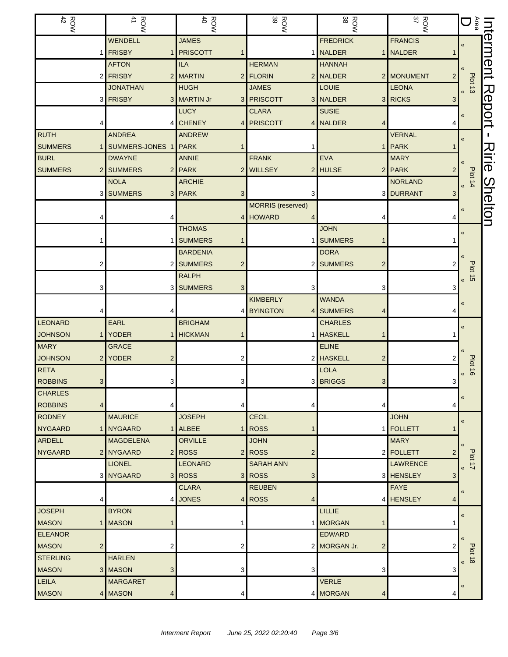| ROW<br>$42\,$   | $\begin{array}{c}\n\text{ROW} \\ \text{A1}\n\end{array}$ | $\frac{R}{40}$                | 39<br><b>ROW</b>                           | ROW<br>38                      | ROW<br>$\frac{37}{37}$            | $\mathbb{S}$ D                        | Interment                      |
|-----------------|----------------------------------------------------------|-------------------------------|--------------------------------------------|--------------------------------|-----------------------------------|---------------------------------------|--------------------------------|
|                 | WENDELL                                                  | <b>JAMES</b>                  |                                            | <b>FREDRICK</b>                | <b>FRANCIS</b>                    | $\pmb{\ll}$                           |                                |
|                 | 1 FRISBY                                                 | 1 PRISCOTT                    |                                            | <b>NALDER</b>                  | 1 NALDER                          |                                       |                                |
|                 | <b>AFTON</b>                                             | <b>ILA</b>                    | <b>HERMAN</b>                              | <b>HANNAH</b>                  |                                   |                                       |                                |
|                 | 2 FRISBY                                                 | 2 MARTIN                      | 2 FLORIN                                   | NALDER                         | 2 MONUMENT<br>$\overline{2}$      |                                       |                                |
|                 | <b>JONATHAN</b>                                          | <b>HUGH</b>                   | <b>JAMES</b>                               | LOUIE                          | <b>LEONA</b>                      | Plot 13                               |                                |
|                 | 3 FRISBY                                                 | 3 MARTIN Jr<br>3 <sup>2</sup> | <b>PRISCOTT</b>                            | 3 NALDER                       | 3 RICKS<br>3                      |                                       | Report                         |
|                 |                                                          | <b>LUCY</b>                   | <b>CLARA</b>                               | <b>SUSIE</b>                   |                                   | «                                     |                                |
|                 |                                                          | 4 CHENEY<br>4                 | <b>PRISCOTT</b>                            | 4 NALDER<br>4                  |                                   |                                       |                                |
| <b>RUTH</b>     | <b>ANDREA</b>                                            | <b>ANDREW</b>                 |                                            |                                | <b>VERNAL</b>                     | «                                     |                                |
| <b>SUMMERS</b>  | SUMMERS-JONES 1<br>1                                     | PARK                          |                                            | 1 <sup>1</sup>                 | <b>PARK</b>                       |                                       | 刀                              |
| <b>BURL</b>     | <b>DWAYNE</b>                                            | <b>ANNIE</b>                  | <b>FRANK</b>                               | <b>EVA</b>                     | <b>MARY</b>                       |                                       | $\overline{\overline{\theta}}$ |
| <b>SUMMERS</b>  | 2 SUMMERS                                                | 2 PARK<br>2                   | <b>WILLSEY</b><br>2 <sub>1</sub>           | <b>HULSE</b>                   | $2$ PARK                          |                                       |                                |
|                 | <b>NOLA</b>                                              | <b>ARCHIE</b>                 |                                            |                                | <b>NORLAND</b>                    | Plot 14<br>$\pmb{\mathcal{R}}$        |                                |
|                 | <b>SUMMERS</b><br>3                                      | 3 PARK<br>3                   | З                                          |                                | 3 DURRANT<br>3                    |                                       |                                |
|                 |                                                          |                               | <b>MORRIS</b> (reserved)                   |                                |                                   |                                       | Shelton                        |
|                 |                                                          | 4                             | <b>HOWARD</b>                              |                                |                                   |                                       |                                |
|                 |                                                          | <b>THOMAS</b>                 |                                            | <b>JOHN</b>                    |                                   | «                                     |                                |
|                 |                                                          | 1 SUMMERS                     |                                            | <b>SUMMERS</b><br>1            |                                   |                                       |                                |
|                 |                                                          | <b>BARDENIA</b>               |                                            | <b>DORA</b>                    |                                   |                                       |                                |
|                 | 2                                                        | 2 SUMMERS<br>2                | 2                                          | <b>SUMMERS</b><br>2            |                                   |                                       |                                |
|                 |                                                          | <b>RALPH</b>                  |                                            |                                |                                   | <b>Plot 15</b><br>$\pmb{\mathcal{R}}$ |                                |
|                 | 3                                                        | 3 SUMMERS<br>3                |                                            | 3                              | З                                 |                                       |                                |
|                 |                                                          |                               | <b>KIMBERLY</b>                            | <b>WANDA</b>                   |                                   | «                                     |                                |
|                 |                                                          |                               | 4 BYINGTON<br>4                            | <b>SUMMERS</b><br>4            |                                   |                                       |                                |
| <b>LEONARD</b>  | EARL                                                     | <b>BRIGHAM</b>                |                                            | <b>CHARLES</b>                 |                                   | $\langle \langle$                     |                                |
| <b>JOHNSON</b>  | 1 YODER                                                  | 1 HICKMAN                     |                                            | <b>HASKELL</b>                 |                                   |                                       |                                |
| <b>MARY</b>     | <b>GRACE</b>                                             |                               |                                            | <b>ELINE</b>                   |                                   |                                       |                                |
| <b>JOHNSON</b>  | 2 YODER<br>$\overline{2}$                                | 2                             |                                            | 2 HASKELL<br>2                 |                                   | <b>Plot 16</b>                        |                                |
| <b>RETA</b>     |                                                          |                               |                                            | <b>LOLA</b>                    |                                   | $\pmb{\mathcal{R}}$                   |                                |
| <b>ROBBINS</b>  | 3 <sup>1</sup><br>3                                      | 3                             |                                            | 3 BRIGGS<br>3                  | 3                                 |                                       |                                |
| <b>CHARLES</b>  |                                                          |                               |                                            |                                |                                   | «                                     |                                |
| <b>ROBBINS</b>  | $\overline{4}$<br>4                                      | 4                             |                                            | 4                              | 4                                 |                                       |                                |
| <b>RODNEY</b>   | <b>MAURICE</b>                                           | <b>JOSEPH</b>                 | <b>CECIL</b>                               |                                | <b>JOHN</b>                       | $\pmb{\ll}$                           |                                |
| NYGAARD         | 1 NYGAARD                                                | 1 ALBEE<br>1                  | <b>ROSS</b>                                |                                | 1 FOLLETT                         |                                       |                                |
| <b>ARDELL</b>   | <b>MAGDELENA</b>                                         | <b>ORVILLE</b>                | <b>JOHN</b>                                |                                | <b>MARY</b>                       | «                                     |                                |
| <b>NYGAARD</b>  | 2 NYGAARD                                                | 2 ROSS<br>2 <sub>1</sub>      | ROSS<br>$\overline{2}$<br><b>SARAH ANN</b> |                                | 2 FOLLETT<br>$\overline{2}$       | Plot 17                               |                                |
|                 | <b>LIONEL</b><br>3 NYGAARD                               | <b>LEONARD</b><br>3 ROSS      | 3 ROSS                                     |                                | <b>LAWRENCE</b><br>3 HENSLEY<br>3 | $\pmb{\ll}$                           |                                |
|                 |                                                          | <b>CLARA</b>                  | 3<br><b>REUBEN</b>                         |                                | <b>FAYE</b>                       |                                       |                                |
|                 | 4                                                        | 4 JONES                       | 4 ROSS<br>Δ                                |                                | 4 HENSLEY<br>4                    | «                                     |                                |
| <b>JOSEPH</b>   | <b>BYRON</b>                                             |                               |                                            | LILLIE                         |                                   |                                       |                                |
| <b>MASON</b>    | 1 MASON<br>1                                             |                               |                                            | 1 MORGAN<br>1                  |                                   | $\pmb{\ll}$                           |                                |
| <b>ELEANOR</b>  |                                                          |                               |                                            | <b>EDWARD</b>                  |                                   |                                       |                                |
| <b>MASON</b>    | $\overline{a}$<br>$\overline{2}$                         | 2                             |                                            | 2 MORGAN Jr.<br>$\overline{c}$ |                                   | $\langle$                             |                                |
| <b>STERLING</b> | <b>HARLEN</b>                                            |                               |                                            |                                |                                   | <b>Plot 18</b>                        |                                |
| <b>MASON</b>    | 3 MASON<br>3 <sup>1</sup>                                | 3                             | 3                                          | 3                              | 3                                 | $\ll$                                 |                                |
| <b>LEILA</b>    | <b>MARGARET</b>                                          |                               |                                            | <b>VERLE</b>                   |                                   |                                       |                                |
| <b>MASON</b>    | 4 MASON<br>$\overline{4}$                                | 4                             |                                            | 4 MORGAN<br>4                  | 4                                 | «                                     |                                |
|                 |                                                          |                               |                                            |                                |                                   |                                       |                                |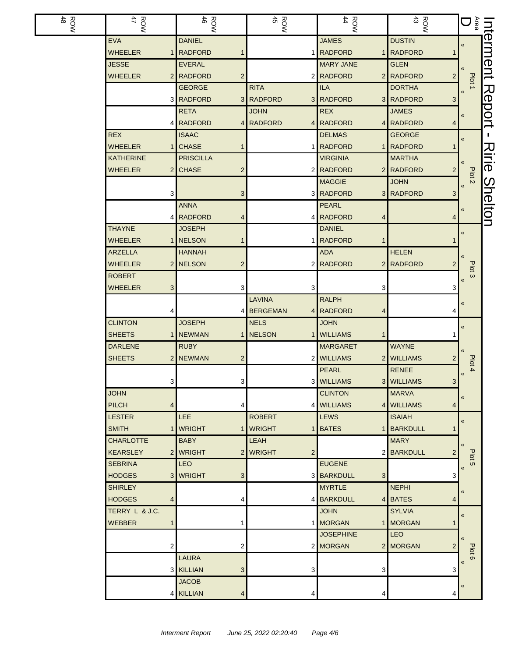| ROW<br>48 | ROW<br>47           | $\frac{ROW}{46}$            | $\frac{ROM}{45}$           | $\frac{R}{44}$                 | $\frac{ROW}{43}$             | 「。」                                                | Jut            |
|-----------|---------------------|-----------------------------|----------------------------|--------------------------------|------------------------------|----------------------------------------------------|----------------|
|           | <b>EVA</b>          | <b>DANIEL</b>               |                            | <b>JAMES</b>                   | <b>DUSTIN</b>                | $\pmb{\langle} \pmb{\langle}$                      | erment         |
|           | <b>WHEELER</b>      | <b>RADFORD</b>              |                            | 1 RADFORD                      | 1 RADFORD                    |                                                    |                |
|           | <b>JESSE</b>        | <b>EVERAL</b>               |                            | <b>MARY JANE</b>               | <b>GLEN</b>                  |                                                    |                |
|           | <b>WHEELER</b>      | 2 RADFORD<br>$\overline{2}$ |                            | 2 RADFORD                      | 2 RADFORD<br>$\overline{2}$  | Plot 1                                             |                |
|           |                     | <b>GEORGE</b>               | <b>RITA</b>                | <b>ILA</b>                     | <b>DORTHA</b>                |                                                    |                |
|           |                     | 3 RADFORD                   | 3 RADFORD                  | 3 RADFORD                      | 3 RADFORD<br>3               |                                                    | Report         |
|           |                     | <b>RETA</b>                 | <b>JOHN</b>                | <b>REX</b>                     | <b>JAMES</b>                 | $\pmb{\ll}$                                        |                |
|           | 4                   | <b>RADFORD</b>              | 4 RADFORD<br>4             | <b>RADFORD</b>                 | 4 RADFORD<br>4               |                                                    |                |
|           | <b>REX</b>          | <b>ISAAC</b>                |                            | <b>DELMAS</b>                  | <b>GEORGE</b>                | «                                                  | L.             |
|           | <b>WHEELER</b><br>1 | <b>CHASE</b>                |                            | 1 RADFORD                      | 1 RADFORD<br>1               |                                                    |                |
|           | <b>KATHERINE</b>    | <b>PRISCILLA</b>            |                            | <b>VIRGINIA</b>                | <b>MARTHA</b>                |                                                    | フラミ            |
|           | <b>WHEELER</b>      | 2 CHASE<br>$\overline{c}$   |                            | 2 RADFORD                      | 2 RADFORD<br>$\overline{2}$  | Plot <sub>2</sub>                                  | ወ              |
|           |                     |                             |                            | <b>MAGGIE</b>                  | <b>JOHN</b>                  | $\pmb{\langle} \pmb{\langle}$                      |                |
|           | 3                   | 3                           |                            | 3 RADFORD                      | 3 RADFORD<br>3 <sup>1</sup>  |                                                    |                |
|           |                     | <b>ANNA</b>                 |                            | <b>PEARL</b>                   |                              | «                                                  | <b>Shelton</b> |
|           |                     | 4 RADFORD<br>4              | 41                         | <b>RADFORD</b><br>4            | 4                            |                                                    |                |
|           | <b>THAYNE</b>       | <b>JOSEPH</b>               |                            | <b>DANIEL</b>                  |                              | $\pmb{\langle} \pmb{\langle}$                      |                |
|           | <b>WHEELER</b>      | 1 NELSON                    | 1                          | <b>RADFORD</b><br>$\mathbf{1}$ | 1                            |                                                    |                |
|           | <b>ARZELLA</b>      | <b>HANNAH</b>               |                            | <b>ADA</b>                     | <b>HELEN</b>                 |                                                    |                |
|           | <b>WHEELER</b>      | 2 NELSON<br>$\overline{c}$  |                            | 2 RADFORD                      | 2 RADFORD<br>2               |                                                    |                |
|           | <b>ROBERT</b>       |                             |                            |                                |                              | Plot <sub>3</sub><br>$\pmb{\langle} \pmb{\langle}$ |                |
|           | <b>WHEELER</b><br>3 | 3                           | 3                          | 3                              | 3                            |                                                    |                |
|           |                     |                             | <b>LAVINA</b>              | <b>RALPH</b>                   |                              | «                                                  |                |
|           | 4                   |                             | 4 BERGEMAN                 | 4 RADFORD<br>4                 | 4                            |                                                    |                |
|           | <b>CLINTON</b>      | <b>JOSEPH</b>               | <b>NELS</b>                | <b>JOHN</b>                    |                              | $\pmb{\langle} \pmb{\langle}$                      |                |
|           | <b>SHEETS</b><br>1  | NEWMAN<br>1 <sup>1</sup>    | <b>NELSON</b>              | <b>WILLIAMS</b><br>$\mathbf 1$ |                              |                                                    |                |
|           | <b>DARLENE</b>      | <b>RUBY</b>                 |                            | <b>MARGARET</b>                | <b>WAYNE</b>                 |                                                    |                |
|           | <b>SHEETS</b>       | 2 NEWMAN<br>2               |                            | 2 WILLIAMS                     | 2 WILLIAMS<br>2              |                                                    |                |
|           |                     |                             |                            | <b>PEARL</b>                   | <b>RENEE</b>                 | Plot 4<br>$\pmb{\langle} \pmb{\langle}$            |                |
|           | 3                   | 3 <sup>1</sup>              |                            | 3 WILLIAMS                     | 3 WILLIAMS<br>3 <sup>1</sup> |                                                    |                |
|           | <b>JOHN</b>         |                             |                            | <b>CLINTON</b>                 | <b>MARVA</b>                 | $\pmb{\langle} \pmb{\langle}$                      |                |
|           | <b>PILCH</b><br>4   | 4                           |                            | 4 WILLIAMS                     | 4 WILLIAMS<br>4              |                                                    |                |
|           | <b>LESTER</b>       | <b>LEE</b>                  | <b>ROBERT</b>              | <b>LEWS</b>                    | <b>ISAIAH</b>                | $\pmb{\langle} \pmb{\langle}$                      |                |
|           | <b>SMITH</b>        | 1   WRIGHT                  | 1 WRIGHT                   | 1 BATES                        | 1 BARKDULL<br>1              |                                                    |                |
|           | <b>CHARLOTTE</b>    | <b>BABY</b>                 | LEAH                       |                                | <b>MARY</b>                  | $\ll$                                              |                |
|           | <b>KEARSLEY</b>     | 2 WRIGHT                    | 2 WRIGHT<br>$\overline{2}$ |                                | 2 BARKDULL<br>$\overline{2}$ |                                                    |                |
|           | <b>SEBRINA</b>      | LEO.                        |                            | <b>EUGENE</b>                  |                              | Plot <sub>5</sub><br>$\pmb{\langle} \pmb{\langle}$ |                |
|           | <b>HODGES</b>       | 3 WRIGHT<br>3               |                            | 3 BARKDULL<br>3 <sup>1</sup>   | 3                            |                                                    |                |
|           | <b>SHIRLEY</b>      |                             |                            | <b>MYRTLE</b>                  | <b>NEPHI</b>                 | «                                                  |                |
|           | <b>HODGES</b><br>4  | 4                           |                            | 4 BARKDULL                     | 4 BATES<br>4                 |                                                    |                |
|           | TERRY L & J.C.      |                             |                            | <b>JOHN</b>                    | <b>SYLVIA</b>                | $\pmb{\ll}$                                        |                |
|           | <b>WEBBER</b>       | 1                           |                            | 1 MORGAN                       | 1 MORGAN<br>1                |                                                    |                |
|           |                     |                             |                            | <b>JOSEPHINE</b>               | LEO                          | $\left\langle \right\rangle$                       |                |
|           | 2                   | 2                           |                            | 2 MORGAN                       | 2 MORGAN<br>2                |                                                    |                |
|           |                     | <b>LAURA</b>                |                            |                                |                              | Plot 6<br>$\pmb{\langle} \pmb{\langle}$            |                |
|           |                     | 3 KILLIAN<br>3              | 3                          | 3                              | 3                            |                                                    |                |
|           |                     | <b>JACOB</b>                |                            |                                |                              | «                                                  |                |
|           |                     | 4 KILLIAN<br>4              |                            | 4                              | 4                            |                                                    |                |
|           |                     |                             |                            |                                |                              |                                                    |                |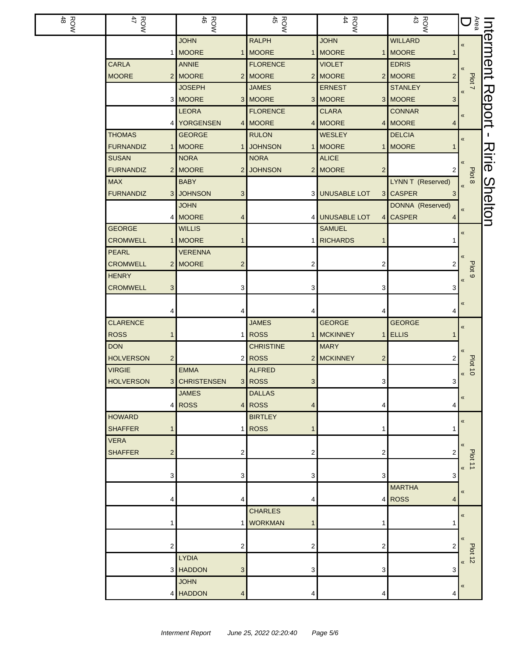| ROW<br>48 | ROW<br>47                                 | <b>ROW</b>                | <b>ROW</b>                      | ROW<br>44                 | ROW<br>43                 | <b>こうしょう こうきょう こうきょう こうきょう しょうきょう こうきょう こうきょう</b> | hterment       |
|-----------|-------------------------------------------|---------------------------|---------------------------------|---------------------------|---------------------------|---------------------------------------------------|----------------|
|           |                                           | <b>JOHN</b>               | <b>RALPH</b>                    | <b>JOHN</b>               | <b>WILLARD</b>            | $\pmb{\ll}$                                       |                |
|           |                                           | 1 MOORE<br>1              | <b>MOORE</b>                    | 1 MOORE                   | 1 MOORE<br>$\mathbf 1$    |                                                   |                |
|           | <b>CARLA</b>                              | <b>ANNIE</b>              | <b>FLORENCE</b>                 | <b>VIOLET</b>             | <b>EDRIS</b>              |                                                   |                |
|           | <b>MOORE</b>                              | 2 MOORE<br>2 <sup>1</sup> | <b>MOORE</b>                    | 2 MOORE                   | 2 MOORE<br>$\overline{2}$ | Plot 7                                            |                |
|           |                                           | <b>JOSEPH</b>             | <b>JAMES</b>                    | <b>ERNEST</b>             | <b>STANLEY</b>            | $\pmb{\langle} \pmb{\langle}$                     |                |
|           |                                           | 3 MOORE                   | 3 MOORE                         | 3 MOORE                   | 3 MOORE<br>3 <sup>1</sup> |                                                   | Report         |
|           |                                           | <b>LEORA</b>              | <b>FLORENCE</b>                 | <b>CLARA</b>              | <b>CONNAR</b>             | «                                                 |                |
|           |                                           | 4 YORGENSEN<br>4          | <b>MOORE</b>                    | 4 MOORE                   | 4 MOORE<br>$\overline{4}$ |                                                   |                |
|           | <b>THOMAS</b>                             | <b>GEORGE</b>             | <b>RULON</b>                    | WESLEY                    | <b>DELCIA</b>             | $\pmb{\ll}$                                       | л.             |
|           | <b>FURNANDIZ</b>                          | 1 MOORE                   | <b>JOHNSON</b>                  | 1 MOORE                   | 1 MOORE<br>$\mathbf 1$    |                                                   |                |
|           | <b>SUSAN</b>                              | <b>NORA</b>               | <b>NORA</b>                     | <b>ALICE</b>              |                           |                                                   | Ririe          |
|           | <b>FURNANDIZ</b>                          | 2 MOORE<br>2              | <b>JOHNSON</b>                  | 2 MOORE<br>$\overline{2}$ | 2 <sub>2</sub>            | Plot 8                                            |                |
|           | <b>MAX</b>                                | <b>BABY</b>               |                                 |                           | LYNN T (Reserved)         |                                                   |                |
|           | <b>FURNANDIZ</b>                          | 3 JOHNSON<br>3            |                                 | 3 UNUSABLE LOT            | 3 CASPER<br>3             |                                                   |                |
|           |                                           | <b>JOHN</b>               |                                 |                           | DONNA (Reserved)          | $\pmb{\langle} \pmb{\langle}$                     |                |
|           |                                           | 4 MOORE<br>4              |                                 | 4 UNUSABLE LOT            | 4 CASPER<br>4             |                                                   | <b>Shelton</b> |
|           | <b>GEORGE</b>                             | <b>WILLIS</b>             |                                 | <b>SAMUEL</b>             |                           | «                                                 |                |
|           | <b>CROMWELL</b>                           | 1 MOORE                   |                                 | 1 RICHARDS<br>$\mathbf 1$ | 1                         |                                                   |                |
|           | <b>PEARL</b>                              | <b>VERENNA</b>            |                                 |                           |                           |                                                   |                |
|           | <b>CROMWELL</b>                           | 2 MOORE<br>$\overline{c}$ | 2                               | 2                         | 2                         | Plot <sub>9</sub>                                 |                |
|           | <b>HENRY</b>                              |                           |                                 |                           |                           | $\langle \langle$                                 |                |
|           | <b>CROMWELL</b><br>3                      | 3                         | 3                               | 3                         | 3                         |                                                   |                |
|           |                                           |                           |                                 |                           |                           | $\ll$                                             |                |
|           | 4                                         |                           | 4                               | 4                         | 4                         |                                                   |                |
|           | <b>CLARENCE</b>                           |                           | <b>JAMES</b>                    | <b>GEORGE</b>             | <b>GEORGE</b>             | «                                                 |                |
|           | <b>ROSS</b><br>$\mathbf{1}$<br><b>DON</b> | 1                         | <b>ROSS</b><br><b>CHRISTINE</b> | 1 MCKINNEY<br><b>MARY</b> | $1$ ELLIS<br>$\mathbf 1$  |                                                   |                |
|           | <b>HOLVERSON</b>                          |                           | $2$ ROSS                        | 2 MCKINNEY                |                           |                                                   |                |
|           | $\overline{c}$<br><b>VIRGIE</b>           | <b>EMMA</b>               | <b>ALFRED</b>                   | $\overline{2}$            | 2                         | Plot                                              |                |
|           | <b>HOLVERSON</b>                          | 3 CHRISTENSEN             | 3 ROSS<br>3 <sup>2</sup>        | 3 <sup>1</sup>            | 3 <sup>1</sup>            | $\vec{o}$<br>$\pmb{\kappa}$                       |                |
|           |                                           | <b>JAMES</b>              | <b>DALLAS</b>                   |                           |                           |                                                   |                |
|           |                                           | 4 ROSS<br>4               | <b>ROSS</b><br>4                | 4                         | 4                         | $\pmb{\langle} \pmb{\langle}$                     |                |
|           | <b>HOWARD</b>                             |                           | <b>BIRTLEY</b>                  |                           |                           |                                                   |                |
|           | <b>SHAFFER</b><br>$\mathbf{1}$            | 1                         | <b>ROSS</b>                     | -1                        | 1                         | «                                                 |                |
|           | <b>VERA</b>                               |                           |                                 |                           |                           |                                                   |                |
|           | <b>SHAFFER</b><br>$\overline{c}$          | 2                         | 2                               | 2                         | 2                         |                                                   |                |
|           |                                           |                           |                                 |                           |                           | Plot 11                                           |                |
|           | 3                                         | 3                         | 3                               | 3                         | 3                         | $\alpha$                                          |                |
|           |                                           |                           |                                 |                           | <b>MARTHA</b>             | $\ll$                                             |                |
|           | 4                                         | 4                         | 4                               |                           | 4 ROSS<br>4               |                                                   |                |
|           |                                           |                           | <b>CHARLES</b>                  |                           |                           | «                                                 |                |
|           | 1                                         | 1                         | <b>WORKMAN</b><br>1             | 1                         | 1                         |                                                   |                |
|           |                                           |                           |                                 |                           |                           | $\alpha$                                          |                |
|           | $\overline{c}$                            | 2                         | 2                               | $\overline{c}$            | 2                         |                                                   |                |
|           |                                           | <b>LYDIA</b>              |                                 |                           |                           | <b>Plot 12</b><br>$\overline{\mathbf{K}}$         |                |
|           |                                           | 3 HADDON<br>3             | 3                               | 3                         | 3                         |                                                   |                |
|           |                                           | <b>JOHN</b>               |                                 |                           |                           | «                                                 |                |
|           |                                           | 4 HADDON<br>Δ             |                                 | 4                         | 4                         |                                                   |                |
|           |                                           |                           |                                 |                           |                           |                                                   |                |